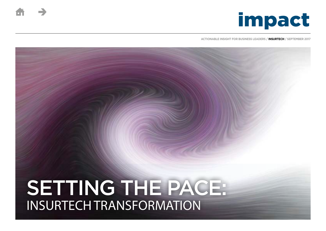

**ACTIONABLE INSIGHT FOR BUSINESS LEADERS / INSURTECH / SEPTEMBER 2017**

# SETTING THE PACE: INSURTECH TRANSFORMATION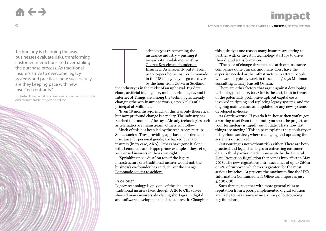Technology is changing the way businesses evaluate risks, transforming customer interactions and overhauling the purchase process. As traditional insurers strive to overcome legacy systems and practices, how successfully are they keeping pace with new InsurTech entrants?

By Peter Davy, a risk and insurance specialist journalist and former trade magazine editor

echnology is transforming the insurance industry – pushing it towards its ["Kodak moment", as](http://www3.asiainsurancereview.com/News/View-NewsLetter-Article/id/38976/type/eDaily/InsurTech-Kodak-moment-looming-for-non-digital-insurance-players#)  [George Kesselman, founder of](http://www3.asiainsurancereview.com/News/View-NewsLetter-Article/id/38976/type/eDaily/InsurTech-Kodak-moment-looming-for-non-digital-insurance-players#)  [InsurTech Asia recently put it](http://www3.asiainsurancereview.com/News/View-NewsLetter-Article/id/38976/type/eDaily/InsurTech-Kodak-moment-looming-for-non-digital-insurance-players#). From peer-to-peer home insurer Lemonade in the US to pay-as-you-go car cover by the hour from Cuvva in Scotland,

the industry is in the midst of an upheaval. Big data, cloud, artificial intelligence, mobile technologies, and the Internet of Things are among the technologies already changing the way insurance works, says Neil Cantle, principal at Milliman. The industry is

"Even 18 months ago, much of this was only theoretical, but now profound change is a reality. The industry has reached that moment," he says. Already technologies such as telematics are mainstream. Others will follow.

Much of this has been led by the tech-savvy startups. Some, such as Trov, providing app-based, on-demand insurance for personal goods, are backed by major insurers (in its case, AXA). Others have gone it alone, with Lemonade and Hippo prime examples; they set up as licensed insurers in their own right.

"Sprinkling pixie dust" on top of the legacy infrastructure of a traditional insurer would not, the business's co-founder has said, deliver [the change](http://www.propertycasualty360.com/2016/12/12/rebel-with-a-cause-lemonade-ceo-calls-for-radical?slreturn=1481729112&page=2&page_all=1)  [Lemonade sought to achieve.](http://www.propertycasualty360.com/2016/12/12/rebel-with-a-cause-lemonade-ceo-calls-for-radical?slreturn=1481729112&page=2&page_all=1)

#### **In or out?**

Legacy technology is only one of the challenges traditional insurers face, though. A [2016 CBI survey](http://www.cbi.org.uk/cbi-prod/assets/File/pdf/cbi-education-and-skills-survey2016.pdf) showed many insurers also facing shortages in digital and software development skills to address it. Changing this quickly is one reason many insurers are opting to partner with or invest in technology startups to drive their digital transformation.

"The pace of change threatens to catch out insurance companies quite quickly, and many don't have the expertise needed or the infrastructure to attract people who would typically work in these fields," says Milliman consulting actuary Russell Osman.

There are other factors that argue against developing technology in-house, too. One is the cost, both in terms of the potentially prohibitive upfront capital costs involved in ripping and replacing legacy systems, and the ongoing maintenance and updates for any new systems developed in-house.

As Cantle warns: "If you do it in-house then you've got a wasting asset from the minute you start the project, and your technology is rapidly out of date. That's how fast things are moving." This in part explains the popularity of using cloud services, where managing and updating the system is outsourced.

Outsourcing is not without risks either. There are both practical and legal challenges in entrusting customer data to third parties, made more acute by the [General](https://ico.org.uk/for-organisations/data-protection-reform/overview-of-the-gdpr/)  [Data Protection Regulation](https://ico.org.uk/for-organisations/data-protection-reform/overview-of-the-gdpr/) that comes into effect in May 2018. The new regulations introduce fines of up to  $\epsilon$ 20m or 4% of turnover, whichever is greater, for the most serious breaches. At present, the maximum fine the UK's Information Commissioner's Office can impose is just £500,000.

Such threats, together with more general risks to reputation from a poorly implemented digital solution are likely to make some insurers wary of outsourcing key functions.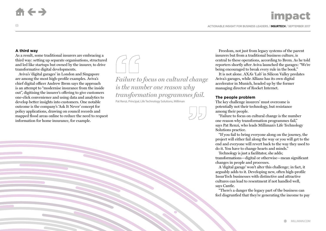#### **A third way**

03

As a result, some traditional insurers are embracing a third way: setting up separate organisations, structured and led like startups but owned by the insurer, to drive transformative digital developments.

Aviva's 'digital garages' in London and Singapore are among the most high-profile examples. Aviva's chief digital officer Andrew Brem says the approach is an attempt to "modernise insurance from the inside out", digitising the insurer's offering to give customers one-click convenience and using data and analytics to develop better insights into customers. One notable outcome is the company's 'Ask It Never' concept for policy applications, drawing on council records and mapped flood areas online to reduce the need to request information for home insurance, for example.



*Failure to focus on cultural change is the number one reason why transformation programmes fail.*  Pat Renzi, Principal, Life Technology Solutions, Milliman



Freedom, not just from legacy systems of the parent insurers but from a traditional business culture, is central to these operations, according to Brem. As he told reporters shortly after Aviva launched the garages: "We're being encouraged to break every rule in the book."

It is not alone. AXA's 'Lab' in Silicon Valley predates Aviva's garages, while Allianz has its own digital accelerator in Munich, headed up by the former managing director of Rocket Internet.

### **The people problem**

The key challenge insurers' must overcome is potentially not their technology, but resistance among their people.

"Failure to focus on cultural change is the number one reason why transformation programmes fail," says Pat Renzi, who leads Milliman's Life Technology Solutions practice.

"If you fail to bring everyone along on the journey, the project will either fail along the way or you will get to the end and everyone will revert back to the way they used to do it. You have to change hearts and minds."

Technology is just a facilitator, she adds; transformations—digital or otherwise—mean significant changes in people and processes.

A 'digital garage' won't alter this challenge; in fact, it arguably adds to it. Developing new, often high-profile InsurTech businesses with distinctive and attractive cultures can lead to resentment if not handled well, says Cantle.

"There's a danger the legacy part of the business can feel disgruntled that they're generating the income to pay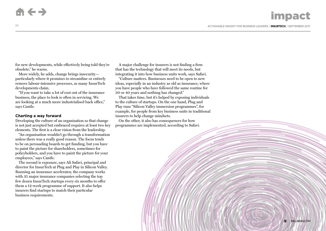04

for new developments, while effectively being told they're obsolete," he warns.

More widely, he adds, change brings insecurity particularly where it promises to streamline or entirely remove labour-intensive processes, as many InsurTech developments claim.

"If you want to take a lot of cost out of the insurance business, the place to look is often in servicing. We are looking at a much more industrialised back office," says Cantle.

### **Charting a way forward**

Developing the culture of an organisation so that change is not just accepted but embraced requires at least two key elements. The first is a clear vision from the leadership.

"An organisation wouldn't go through a transformation unless there was a really good reason. The focus tends to be on persuading boards to get funding, but you have to paint the picture for shareholders, sometimes for policyholders, and you have to paint the picture for your employees," says Cantle.

The second is exposure, says Ali Safavi, principal and director for InsurTech at Plug and Play in Silicon Valley. Running an insurance accelerator, the company works with 35 major insurance companies selecting the top few dozen InsurTech startups every six months to offer them a 12-week programme of support. It also helps insurers find startups to match their particular business requirements.

A major challenge for insurers is not finding a firm that has the technology that will meet its needs, but integrating it into how business units work, says Safavi.

"Culture matters. Businesses need to be open to new ideas, especially in an industry as old as insurance, where you have people who have followed the same routine for 30 or 40 years and nothing has changed."

That takes time, but it's helped by exposing individuals to the culture of startups. On the one hand, Plug and Play runs "Silicon Valley immersion programmes", for example, for people from key business units in traditional insurers to help change mindsets.

On the other, it also has consequences for how programmes are implemented, according to Safavi.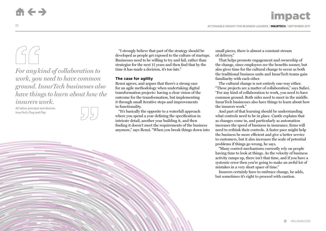*For anykind of collaboration to work, you need to have common ground. InsurTech businesses also have things to learn about how the* 

*insurers work.* 

Ali Safavi, principal and director, InsurTech, Plug and Play



"I strongly believe that part of the strategy should be developed as people get exposed to the culture of startups. Businesses need to be willing to try and fail, rather than strategise for the next 15 years and then find that by the time it has made a decision, it's too late."

# **The case for agility**

Renzi agrees, and argues that there's a strong case for an agile methodology when undertaking digital transformation projects: having a clear vision of the outcome for the transformation, but implementing it through small iterative steps and improvements in functionality.

"It's basically the opposite to a waterfall approach where you spend a year defining the specification in intricate detail, another year building it, and then finding it doesn't meet the requirements of the business anymore," says Renzi. "When you break things down into small pieces, there is almost a constant stream of delivery."

That helps promote engagement and ownership of the change, since employees see the benefits sooner, but also gives time for the cultural change to occur as both the traditional business units and InsurTech teams gain familiarity with each other.

The cultural change is not entirely one-way either. "These projects are a matter of collaboration," says Safavi. "For any kind of collaboration to work, you need to have common ground. Both sides need to meet in the middle. InsurTech businesses also have things to learn about how the insurers work."

And part of that learning should be understanding what controls need to be in place. Cantle explains that as changes come in, and particularly as automation increases the speed of business in insurance, firms will need to rethink their controls. A faster pace might help the business be more efficient and give a better service to customers, but it also increases the scale of potential problems if things go wrong, he says.

"Many control mechanisms currently rely on people having time to look at things. As the velocity of business activity ramps up, there isn't that time, and if you have a systemic error then you're going to make an awful lot of mistakes in a very short space of time."

Insurers certainly have to embrace change, he adds, but sometimes it's right to proceed with caution.